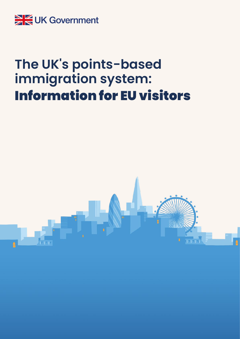

# **The UK's points-based immigration system:** Information for EU visitors

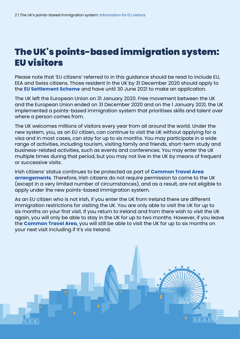# The UK's points-based immigration system: EU visitors

Please note that 'EU citizens' referred to in this guidance should be read to include EU, EEA and Swiss citizens. Those resident in the UK by 31 December 2020 should apply to the **[EU Settlement Scheme](https://www.gov.uk/settled-status-eu-citizens-families/what-settled-and-presettled-status-means)** and have until 30 June 2021 to make an application.

The UK left the European Union on 31 January 2020. Free movement between the UK and the European Union ended on 31 December 2020 and on the 1 January 2021, the UK implemented a points-based immigration system that prioritises skills and talent over where a person comes from.

The UK welcomes millions of visitors every year from all around the world. Under the new system, you, as an EU citizen, can continue to visit the UK without applying for a visa and in most cases, can stay for up to six months. You may participate in a wide range of activities, including tourism, visiting family and friends, short-term study and business-related activities, such as events and conferences. You may enter the UK multiple times during that period, but you may not live in the UK by means of frequent or successive visits.

Irish citizens' status continues to be protected as part of **[Common Travel Area](https://www.gov.uk/government/publications/common-travel-area-guidance/common-travel-area-guidance)  [arrangements](https://www.gov.uk/government/publications/common-travel-area-guidance/common-travel-area-guidance)**. Therefore, Irish citizens do not require permission to come to the UK (except in a very limited number of circumstances), and as a result, are not eligible to apply under the new points-based immigration system.

As an EU citizen who is not Irish, if you enter the UK from Ireland there are different immigration restrictions for visiting the UK. You are only able to visit the UK for up to six months on your first visit. If you return to Ireland and from there wish to visit the UK again, you will only be able to stay in the UK for up to two months. However, if you leave the **[Common Travel Area](https://www.gov.uk/government/publications/common-travel-area-guidance/common-travel-area-guidance)**, you will still be able to visit the UK for up to six months on your next visit including if it's via Ireland.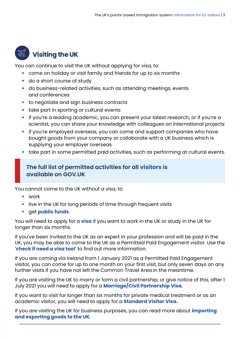

## *W* Visiting the UK

You can continue to visit the UK without applying for visa, to:

- come on holiday or visit family and friends for up to six months
- do a short course of study
- do business-related activities, such as attending meetings, events and conferences
- to negotiate and sign business contracts
- take part in sporting or cultural events
- if you're a leading academic, you can present your latest research; or if you're a scientist, you can share your knowledge with colleagues on international projects
- if you're employed overseas, you can come and support companies who have bought goods from your company or collaborate with a UK business which is supplying your employer overseas
- take part in some permitted paid activities, such as performing at cultural events.

#### **The full list of permitted activities for all [visitors](https://www.gov.uk/guidance/immigration-rules/immigration-rules-appendix-visitor-permitted-activities) is available on GOV.UK**

You cannot come to the UK without a visa, to:

- work
- live in the UK for long periods of time through frequent visits
- get **[public funds](https://www.gov.uk/government/publications/public-funds--2)**.

You will need to apply for a **[visa](https://www.gov.uk/guidance/the-uks-points-based-immigration-system-information-for-eu-citizens)** if you want to work in the UK or study in the UK for longer than six months.

If you've been invited to the UK as an expert in your profession and will be paid in the UK, you may be able to come to the UK as a Permitted Paid Engagement visitor. Use the '**[check if need a visa tool](https://www.gov.uk/check-uk-visa)**' to find out more information.

If you are coming via Ireland from 1 January 2021 as a Permitted Paid Engagement visitor, you can come for up to one month on your first visit, but only seven days on any further visits if you have not left the Common Travel Area in the meantime.

If you are visiting the UK to marry or form a civil partnership, or give notice of this, after 1 July 2021 you will need to apply for a **[Marriage/Civil Partnership Visa](https://www.gov.uk/marriage-visa)**.

If you want to visit for longer than six months for private medical treatment or as an academic visitor, you will need to apply for a **[Standard Visitor Visa.](https://www.gov.uk/standard-visitor-visa)**

If you are visiting the UK for business purposes, you can read more about **[importing](https://www.gov.uk/transition)  [and exporting goods to the UK](https://www.gov.uk/transition)**.